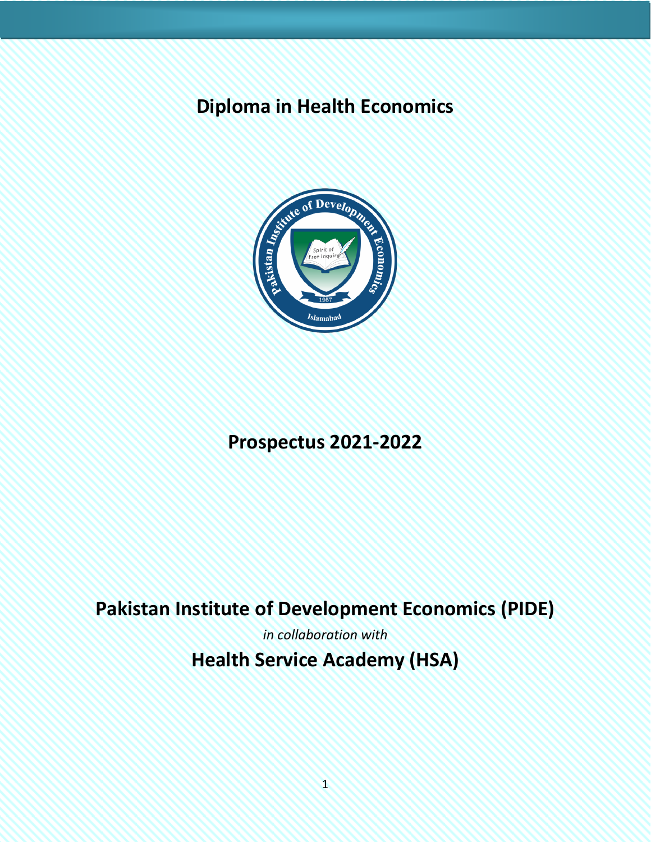# **Diploma in Health Economics**



# **Prospectus 2021-2022**

# **Pakistan Institute of Development Economics (PIDE)**

*in collaboration with* **Health Service Academy (HSA)**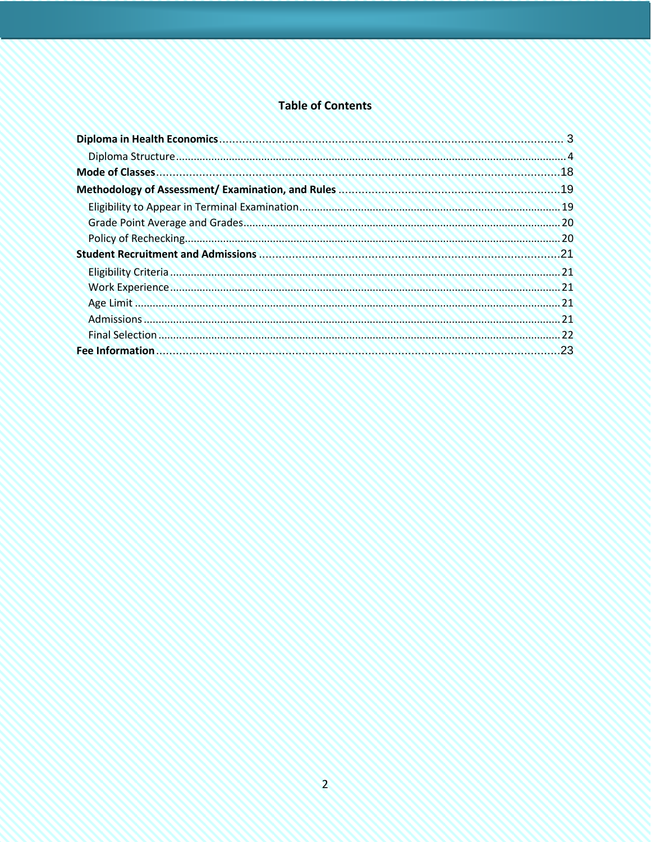# **Table of Contents**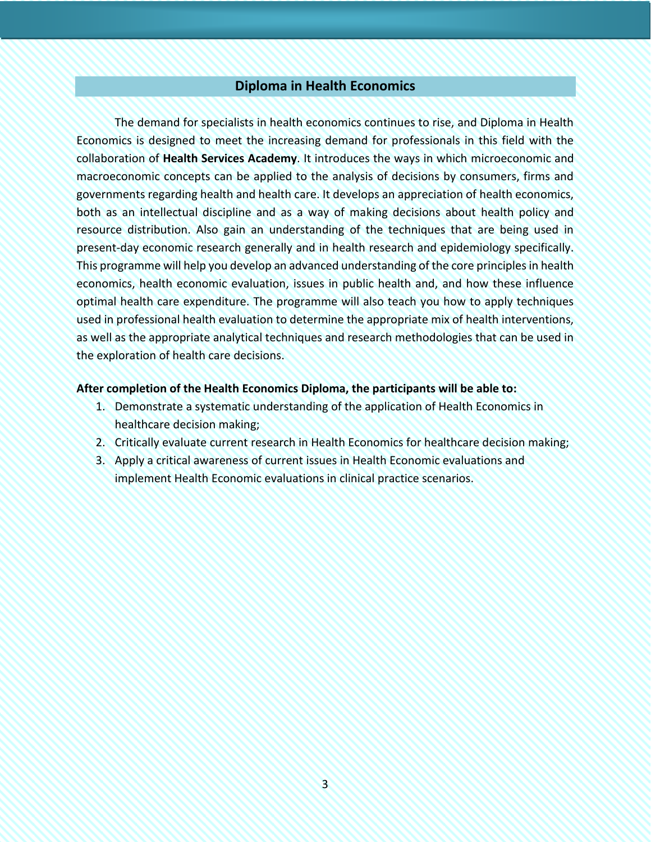# **Diploma in Health Economics**

<span id="page-2-0"></span>The demand for specialists in health economics continues to rise, and Diploma in Health Economics is designed to meet the increasing demand for professionals in this field with the collaboration of **Health Services Academy**. It introduces the ways in which microeconomic and macroeconomic concepts can be applied to the analysis of decisions by consumers, firms and governments regarding health and health care. It develops an appreciation of health economics, both as an intellectual discipline and as a way of making decisions about health policy and resource distribution. Also gain an understanding of the techniques that are being used in present-day economic research generally and in health research and epidemiology specifically. This programme will help you develop an advanced understanding of the core principles in health economics, health economic evaluation, issues in public health and, and how these influence optimal health care expenditure. The programme will also teach you how to apply techniques used in professional health evaluation to determine the appropriate mix of health interventions, as well as the appropriate analytical techniques and research methodologies that can be used in the exploration of health care decisions.

#### **After completion of the Health Economics Diploma, the participants will be able to:**

- 1. Demonstrate a systematic understanding of the application of Health Economics in healthcare decision making;
- 2. Critically evaluate current research in Health Economics for healthcare decision making;
- 3. Apply a critical awareness of current issues in Health Economic evaluations and implement Health Economic evaluations in clinical practice scenarios.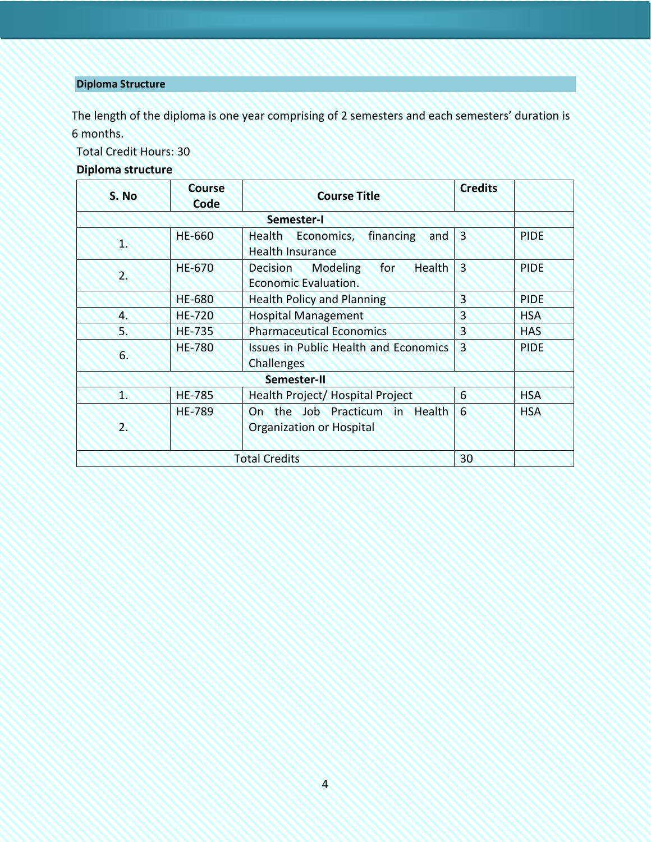# <span id="page-3-0"></span>**Diploma Structure**

The length of the diploma is one year comprising of 2 semesters and each semesters' duration is 6 months.

Total Credit Hours: 30

# **Diploma structure**

| S. No        | <b>Course</b><br>Code | <b>Course Title</b>                                                         | <b>Credits</b> |             |
|--------------|-----------------------|-----------------------------------------------------------------------------|----------------|-------------|
| Semester-I   |                       |                                                                             |                |             |
| 1.           | <b>HE-660</b>         | financing<br>Health Economics,<br>and<br><b>Health Insurance</b>            | $\overline{3}$ | <b>PIDE</b> |
| $2^{\circ}$  | <b>HE-670</b>         | <b>Health</b><br>for<br>Modeling<br><b>Decision</b><br>Economic Evaluation. | 3              | <b>PIDE</b> |
|              | <b>HE-680</b>         | <b>Health Policy and Planning</b>                                           | 3              | <b>PIDE</b> |
| 4.           | <b>HE-720</b>         | <b>Hospital Management</b>                                                  | 3              | <b>HSA</b>  |
| 5.           | <b>HE-735</b>         | <b>Pharmaceutical Economics</b>                                             | 3              | <b>HAS</b>  |
| 6.           | <b>HE-780</b>         | <b>Issues in Public Health and Economics</b><br><b>Challenges</b>           | $\overline{3}$ | <b>PIDE</b> |
| Semester-II  |                       |                                                                             |                |             |
| $\mathbf{T}$ | <b>HE-785</b>         | Health Project/ Hospital Project                                            | 6              | <b>HSA</b>  |
| 2.           | <b>HE-789</b>         | On the Job Practicum in Health<br><b>Organization or Hospital</b>           | 6              | <b>HSA</b>  |
|              |                       | <b>Total Credits</b>                                                        | 30             |             |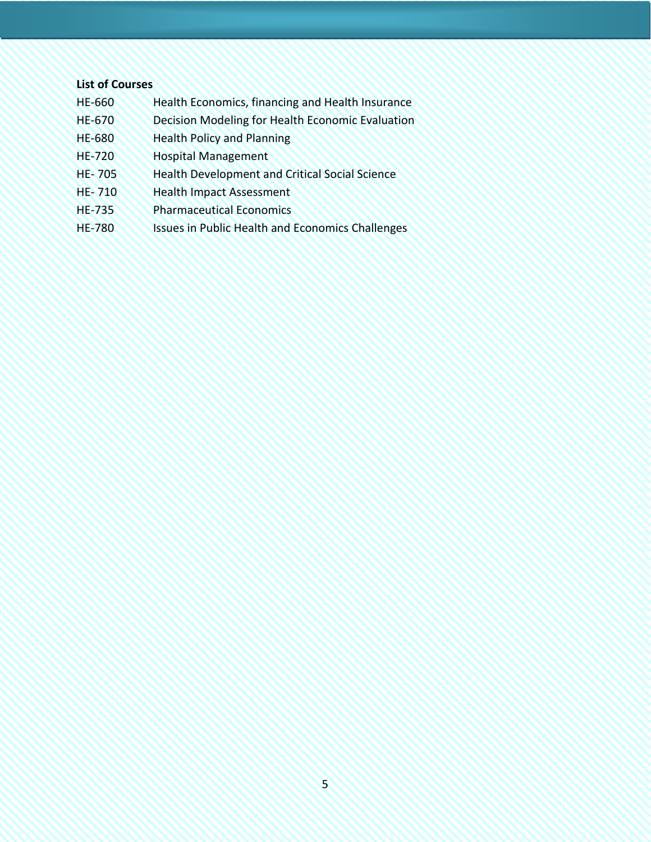#### **List of Courses**

- HE-660 Health Economics, financing and Health Insurance
- HE-670 Decision Modeling for Health Economic Evaluation
- HE-680 Health Policy and Planning
- HE-720 Hospital Management
- HE- 705 Health Development and Critical Social Science
- HE- 710 Health Impact Assessment
- HE-735 Pharmaceutical Economics
- HE-780 Issues in Public Health and Economics Challenges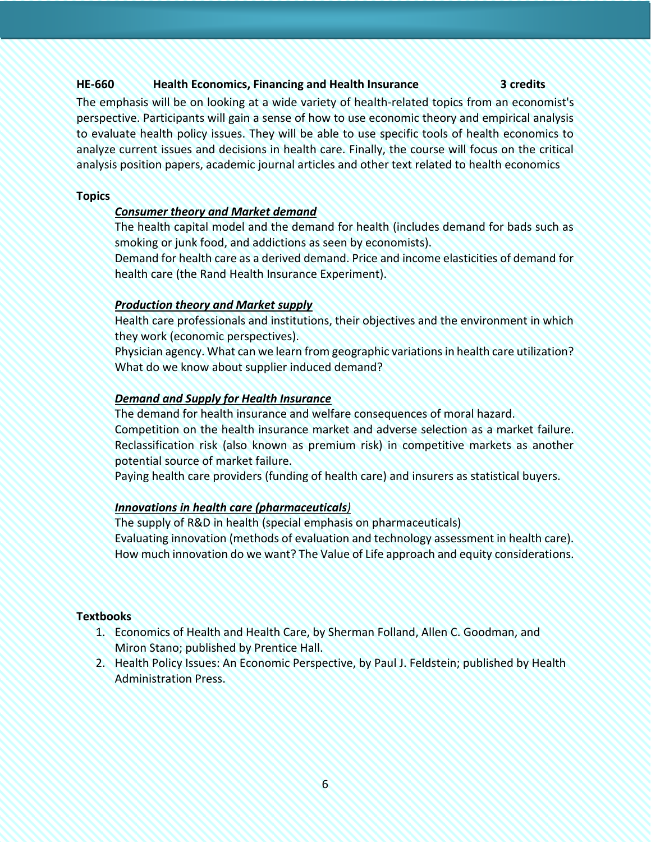# **HE-660 Health Economics, Financing and Health Insurance 3 credits**

The emphasis will be on looking at a wide variety of health-related topics from an economist's perspective. Participants will gain a sense of how to use economic theory and empirical analysis to evaluate health policy issues. They will be able to use specific tools of health economics to analyze current issues and decisions in health care. Finally, the course will focus on the critical analysis position papers, academic journal articles and other text related to health economics

### **Topics**

# *Consumer theory and Market demand*

The health capital model and the demand for health (includes demand for bads such as smoking or junk food, and addictions as seen by economists).

Demand for health care as a derived demand. Price and income elasticities of demand for health care (the Rand Health Insurance Experiment).

# *Production theory and Market supply*

Health care professionals and institutions, their objectives and the environment in which they work (economic perspectives).

Physician agency. What can we learn from geographic variations in health care utilization? What do we know about supplier induced demand?

# *Demand and Supply for Health Insurance*

The demand for health insurance and welfare consequences of moral hazard.

Competition on the health insurance market and adverse selection as a market failure. Reclassification risk (also known as premium risk) in competitive markets as another potential source of market failure.

Paying health care providers (funding of health care) and insurers as statistical buyers.

### *Innovations in health care (pharmaceuticals)*

The supply of R&D in health (special emphasis on pharmaceuticals) Evaluating innovation (methods of evaluation and technology assessment in health care). How much innovation do we want? The Value of Life approach and equity considerations.

### **Textbooks**

- 1. Economics of Health and Health Care, by Sherman Folland, Allen C. Goodman, and Miron Stano; published by Prentice Hall.
- 2. Health Policy Issues: An Economic Perspective, by Paul J. Feldstein; published by Health Administration Press.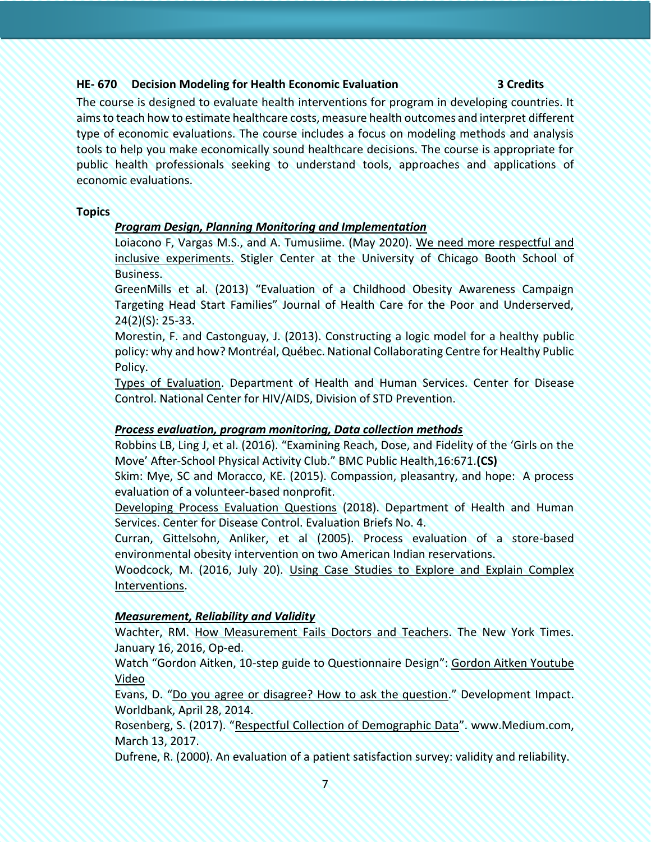# **HE- 670 Decision Modeling for Health Economic Evaluation 3 Credits**

The course is designed to evaluate health interventions for program in developing countries. It aims to teach how to estimate healthcare costs, measure health outcomes and interpret different type of economic evaluations. The course includes a focus on modeling methods and analysis tools to help you make economically sound healthcare decisions. The course is appropriate for public health professionals seeking to understand tools, approaches and applications of economic evaluations.

#### **Topics**

# *Program Design, Planning Monitoring and Implementation*

Loiacono F, Vargas M.S., and A. Tumusiime. (May 2020). [We need more respectful and](https://promarket.org/2020/05/22/we-need-more-respectful-and-inclusive-experiments-in-development-economics-a-proposal/)  [inclusive experiments.](https://promarket.org/2020/05/22/we-need-more-respectful-and-inclusive-experiments-in-development-economics-a-proposal/) Stigler Center at the University of Chicago Booth School of Business.

GreenMills et al. (2013) "Evaluation of a Childhood Obesity Awareness Campaign Targeting Head Start Families" Journal of Health Care for the Poor and Underserved, 24(2)(S): 25-33.

Morestin, F. and Castonguay, J. (2013). Constructing a logic model for a healthy public policy: why and how? Montréal, Québec. National Collaborating Centre for Healthy Public Policy.

[Types of Evaluation.](https://www.cdc.gov/std/Program/pupestd/Types%20of%20Evaluation.pdf) Department of Health and Human Services. Center for Disease Control. National Center for HIV/AIDS, Division of STD Prevention.

### *Process evaluation, program monitoring, Data collection methods*

Robbins LB, Ling J, et al. (2016). "Examining Reach, Dose, and Fidelity of the 'Girls on the Move' After-School Physical Activity Club." BMC Public Health,16:671.**(CS)**

Skim: Mye, SC and Moracco, KE. (2015). Compassion, pleasantry, and hope: A process evaluation of a volunteer-based nonprofit.

[Developing Process Evaluation Questions](https://www.cdc.gov/healthyyouth/evaluation/pdf/brief4.pdf) (2018). Department of Health and Human Services. Center for Disease Control. Evaluation Briefs No. 4.

Curran, Gittelsohn, Anliker, et al (2005). Process evaluation of a store-based environmental obesity intervention on two American Indian reservations.

Woodcock, M. (2016, July 20). [Using Case Studies to Explore and Explain Complex](https://blogs.worldbank.org/impactevaluations/using-case-studies-explore-and-explain-complex-interventions)  [Interventions.](https://blogs.worldbank.org/impactevaluations/using-case-studies-explore-and-explain-complex-interventions)

# *Measurement, Reliability and Validity*

Wachter, RM. [How Measurement Fails Doctors and Teachers.](https://www.nytimes.com/2016/01/17/opinion/sunday/how-measurement-fails-doctors-and-teachers.html) The New York Times. January 16, 2016, Op-ed.

Watch "Gordon Aitken, 10-step guide to Questionnaire Design": [Gordon Aitken Youtube](about:blank)  [Video](about:blank)

Evans, D. "[Do you agree or disagree? How to ask the question](https://blogs.worldbank.org/impactevaluations/do-you-agree-or-disagree-how-ask-question)." Development Impact. Worldbank, April 28, 2014.

Rosenberg, S. (2017). "[Respectful Collection of Demographic Data](https://medium.com/@anna.sarai.rosenberg/respectful-collection-of-demographic-data-56de9fcb80e2)". www.Medium.com, March 13, 2017.

Dufrene, R. (2000). An evaluation of a patient satisfaction survey: validity and reliability.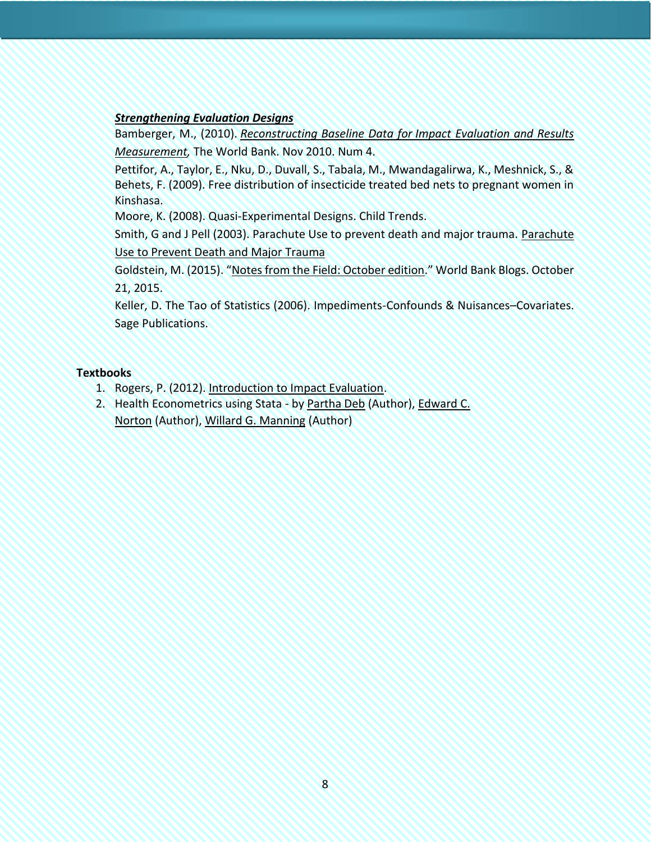# *Strengthening Evaluation Designs*

Bamberger, M., (2010). *[Reconstructing Baseline Data for](http://siteresources.worldbank.org/INTPOVERTY/Resources/335642-1276521901256/premnoteME4.pdf) Impact Evaluation and Results [Measurement,](http://siteresources.worldbank.org/INTPOVERTY/Resources/335642-1276521901256/premnoteME4.pdf)* The World Bank. Nov 2010. Num 4.

Pettifor, A., Taylor, E., Nku, D., Duvall, S., Tabala, M., Mwandagalirwa, K., Meshnick, S., & Behets, F. (2009). Free distribution of insecticide treated bed nets to pregnant women in Kinshasa.

Moore, K. (2008). Quasi-Experimental Designs. Child Trends.

Smith, G and J Pell (2003). Parachute Use to prevent death and major trauma. [Parachute](http://www.ncbi.nlm.nih.gov/pmc/articles/PMC300808/)  [Use to Prevent Death and Major Trauma](http://www.ncbi.nlm.nih.gov/pmc/articles/PMC300808/)

Goldstein, M. (2015). "[Notes from the Field: October edition](https://blogs.worldbank.org/impactevaluations/notes-field-october-edition)." World Bank Blogs. October 21, 2015.

Keller, D. The Tao of Statistics (2006). Impediments-Confounds & Nuisances–Covariates. Sage Publications.

#### **Textbooks**

- 1. Rogers, P. (2012). [Introduction to Impact Evaluation.](http://www.interaction.org/document/introduction-impact-evaluation)
- 2. Health Econometrics using Stata by [Partha Deb](https://www.amazon.com/s/ref=dp_byline_sr_book_1?ie=UTF8&field-author=Partha+Deb&text=Partha+Deb&sort=relevancerank&search-alias=books) (Author), Edward C. [Norton](https://www.amazon.com/s/ref=dp_byline_sr_book_2?ie=UTF8&field-author=Edward+C.+Norton&text=Edward+C.+Norton&sort=relevancerank&search-alias=books) (Author), [Willard G. Manning](https://www.amazon.com/s/ref=dp_byline_sr_book_3?ie=UTF8&field-author=Willard+G.+Manning&text=Willard+G.+Manning&sort=relevancerank&search-alias=books) (Author)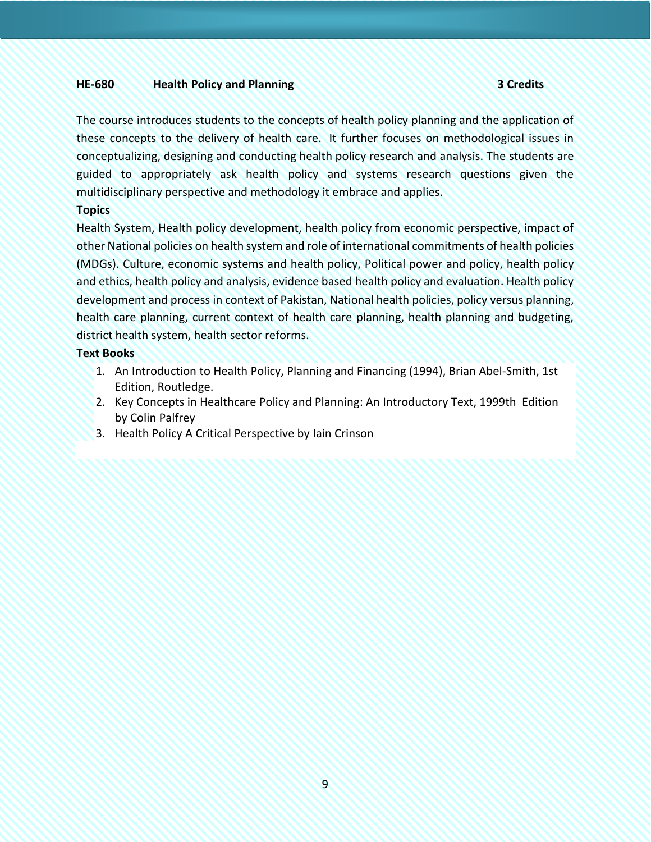#### **HE-680 Health Policy and Planning 3 Credits**

The course introduces students to the concepts of health policy planning and the application of these concepts to the delivery of health care. It further focuses on methodological issues in conceptualizing, designing and conducting health policy research and analysis. The students are guided to appropriately ask health policy and systems research questions given the multidisciplinary perspective and methodology it embrace and applies.

#### **Topics**

Health System, Health policy development, health policy from economic perspective, impact of other National policies on health system and role of international commitments of health policies (MDGs). Culture, economic systems and health policy, Political power and policy, health policy and ethics, health policy and analysis, evidence based health policy and evaluation. Health policy development and process in context of Pakistan, National health policies, policy versus planning, health care planning, current context of health care planning, health planning and budgeting, district health system, health sector reforms.

#### **Text Books**

- 1. An Introduction to Health Policy, Planning and Financing (1994), [Brian Abel-Smith,](https://www.routledge.com/search?author=Brian%20Abel-Smith) 1st Edition, Routledge.
- 2. Key Concepts in Healthcare Policy and Planning: An Introductory Text, 1999th Edition by [Colin Palfrey](https://www.amazon.com/s/ref=dp_byline_sr_book_1?ie=UTF8&field-author=Colin+Palfrey&text=Colin+Palfrey&sort=relevancerank&search-alias=books)
- 3. Health Policy A Critical Perspective by [Iain Crinson](https://in.sagepub.com/en-in/sas/author/iain-crinson)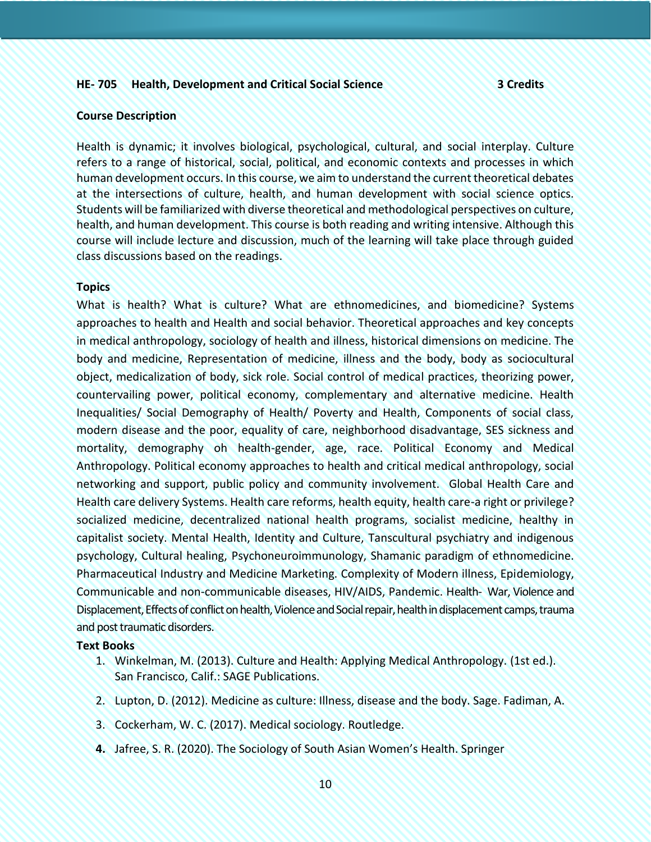#### **HE- 705 Health, Development and Critical Social Science 3 Credits**

#### **Course Description**

Health is dynamic; it involves biological, psychological, cultural, and social interplay. Culture refers to a range of historical, social, political, and economic contexts and processes in which human development occurs. In this course, we aim to understand the current theoretical debates at the intersections of culture, health, and human development with social science optics. Students will be familiarized with diverse theoretical and methodological perspectives on culture, health, and human development. This course is both reading and writing intensive. Although this course will include lecture and discussion, much of the learning will take place through guided class discussions based on the readings.

#### **Topics**

What is health? What is culture? What are ethnomedicines, and biomedicine? Systems approaches to health and Health and social behavior. Theoretical approaches and key concepts in medical anthropology, sociology of health and illness, historical dimensions on medicine. The body and medicine, Representation of medicine, illness and the body, body as sociocultural object, medicalization of body, sick role. Social control of medical practices, theorizing power, countervailing power, political economy, complementary and alternative medicine. Health Inequalities/ Social Demography of Health/ Poverty and Health, Components of social class, modern disease and the poor, equality of care, neighborhood disadvantage, SES sickness and mortality, demography oh health-gender, age, race. Political Economy and Medical Anthropology. Political economy approaches to health and critical medical anthropology, social networking and support, public policy and community involvement. Global Health Care and Health care delivery Systems. Health care reforms, health equity, health care-a right or privilege? socialized medicine, decentralized national health programs, socialist medicine, healthy in capitalist society. Mental Health, Identity and Culture, Tanscultural psychiatry and indigenous psychology, Cultural healing, Psychoneuroimmunology, Shamanic paradigm of ethnomedicine. Pharmaceutical Industry and Medicine Marketing. Complexity of Modern illness, Epidemiology, Communicable and non-communicable diseases, HIV/AIDS, Pandemic. Health- War, Violence and Displacement, Effects of conflict on health, Violence and Social repair, health in displacement camps, trauma and post traumatic disorders.

#### **Text Books**

- 1. Winkelman, M. (2013). Culture and Health: Applying Medical Anthropology. (1st ed.). San Francisco, Calif.: SAGE Publications.
- 2. Lupton, D. (2012). Medicine as culture: Illness, disease and the body. Sage. Fadiman, A.
- 3. Cockerham, W. C. (2017). Medical sociology. Routledge.
- **4.** Jafree, S. R. (2020). The Sociology of South Asian Women's Health. Springer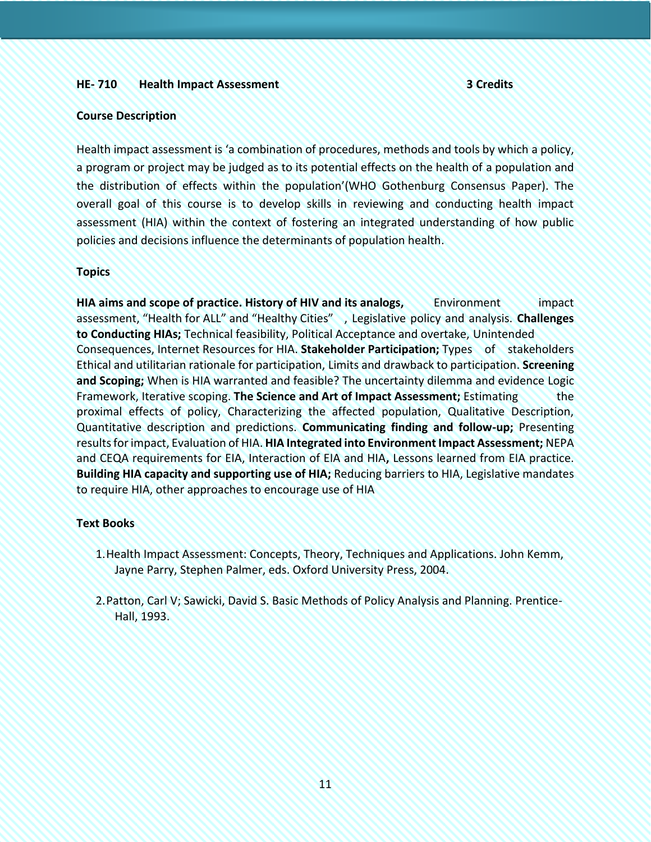#### **HE- 710 Health Impact Assessment 3 Credits**

#### **Course Description**

Health impact assessment is 'a combination of procedures, methods and tools by which a policy, a program or project may be judged as to its potential effects on the health of a population and the distribution of effects within the population'(WHO Gothenburg Consensus Paper). The overall goal of this course is to develop skills in reviewing and conducting health impact assessment (HIA) within the context of fostering an integrated understanding of how public policies and decisions influence the determinants of population health.

#### **Topics**

**HIA aims and scope of practice. History of HIV and its analogs,** Environment impact assessment, "Health for ALL" and "Healthy Cities" , Legislative policy and analysis. **Challenges to Conducting HIAs;** Technical feasibility, Political Acceptance and overtake, Unintended Consequences, Internet Resources for HIA. **Stakeholder Participation;** Types of stakeholders Ethical and utilitarian rationale for participation, Limits and drawback to participation. **Screening and Scoping;** When is HIA warranted and feasible? The uncertainty dilemma and evidence Logic Framework, Iterative scoping. **The Science and Art of Impact Assessment;** Estimating the proximal effects of policy, Characterizing the affected population, Qualitative Description, Quantitative description and predictions. **Communicating finding and follow-up;** Presenting results for impact, Evaluation of HIA. **HIA Integrated into Environment Impact Assessment;** NEPA and CEQA requirements for EIA, Interaction of EIA and HIA**,** Lessons learned from EIA practice. **Building HIA capacity and supporting use of HIA;** Reducing barriers to HIA, Legislative mandates to require HIA, other approaches to encourage use of HIA

#### **Text Books**

- 1.Health Impact Assessment: Concepts, Theory, Techniques and Applications. John Kemm, Jayne Parry, Stephen Palmer, eds. Oxford University Press, 2004.
- 2.Patton, Carl V; Sawicki, David S. Basic Methods of Policy Analysis and Planning. Prentice-Hall, 1993.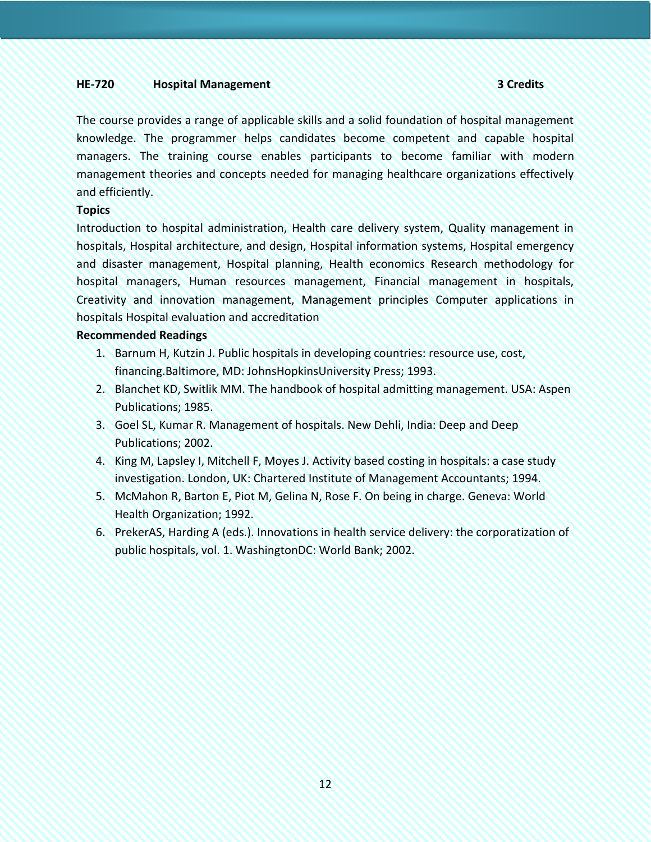#### **HE-720 Hospital Management 3 Credits**

The course provides a range of applicable skills and a solid foundation of hospital management knowledge. The programmer helps candidates become competent and capable hospital managers. The training course enables participants to become familiar with modern management theories and concepts needed for managing healthcare organizations effectively and efficiently.

#### **Topics**

Introduction to hospital administration, Health care delivery system, Quality management in hospitals, Hospital architecture, and design, Hospital information systems, Hospital emergency and disaster management, Hospital planning, Health economics Research methodology for hospital managers, Human resources management, Financial management in hospitals, Creativity and innovation management, Management principles Computer applications in hospitals Hospital evaluation and accreditation

#### **Recommended Readings**

- 1. Barnum H, Kutzin J. Public hospitals in developing countries: resource use, cost, financing.Baltimore, MD: JohnsHopkinsUniversity Press; 1993.
- 2. Blanchet KD, Switlik MM. The handbook of hospital admitting management. USA: Aspen Publications; 1985.
- 3. Goel SL, Kumar R. Management of hospitals. New Dehli, India: Deep and Deep Publications; 2002.
- 4. King M, Lapsley I, Mitchell F, Moyes J. Activity based costing in hospitals: a case study investigation. London, UK: Chartered Institute of Management Accountants; 1994.
- 5. McMahon R, Barton E, Piot M, Gelina N, Rose F. On being in charge. Geneva: World Health Organization; 1992.
- 6. PrekerAS, Harding A (eds.). Innovations in health service delivery: the corporatization of public hospitals, vol. 1. WashingtonDC: World Bank; 2002.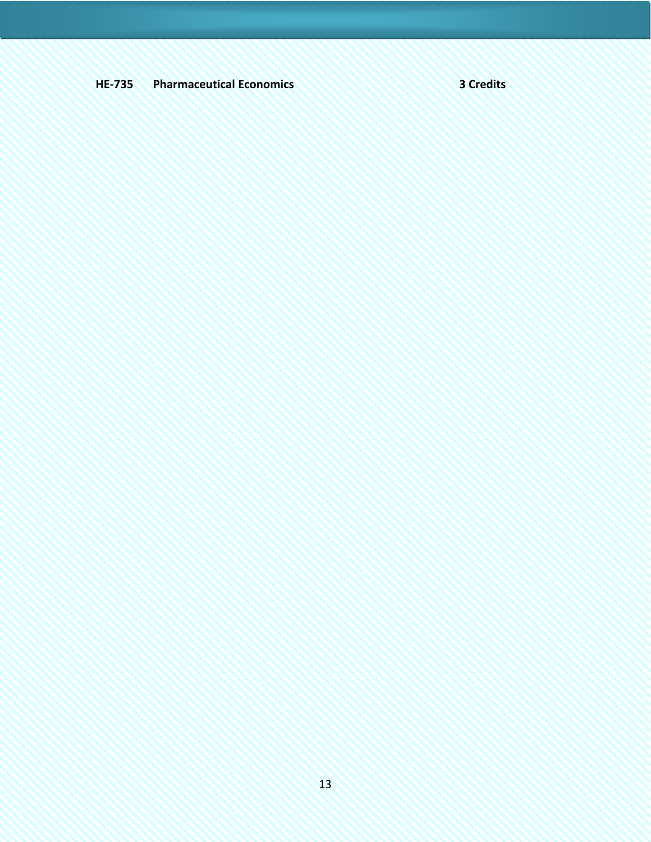# **HE-735 Pharmaceutical Economics 3 Credits**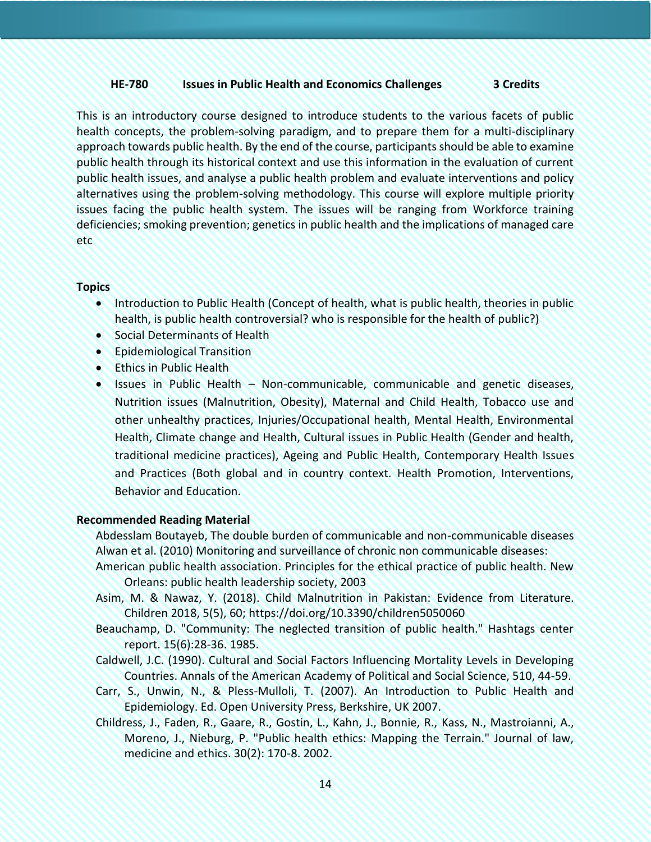### **HE-780 Issues in Public Health and Economics Challenges 3 Credits**

This is an introductory course designed to introduce students to the various facets of public health concepts, the problem-solving paradigm, and to prepare them for a multi-disciplinary approach towards public health. By the end of the course, participants should be able to examine public health through its historical context and use this information in the evaluation of current public health issues, and analyse a public health problem and evaluate interventions and policy alternatives using the problem-solving methodology. This course will explore multiple priority issues facing the public health system. The issues will be ranging from Workforce training deficiencies; smoking prevention; genetics in public health and the implications of managed care etc

#### **Topics**

- Introduction to Public Health (Concept of health, what is public health, theories in public health, is public health controversial? who is responsible for the health of public?)
- Social Determinants of Health
- Epidemiological Transition
- Ethics in Public Health
- Issues in Public Health Non-communicable, communicable and genetic diseases, Nutrition issues (Malnutrition, Obesity), Maternal and Child Health, Tobacco use and other unhealthy practices, Injuries/Occupational health, Mental Health, Environmental Health, Climate change and Health, Cultural issues in Public Health (Gender and health, traditional medicine practices), Ageing and Public Health, Contemporary Health Issues and Practices (Both global and in country context. Health Promotion, Interventions, Behavior and Education.

#### **Recommended Reading Material**

Abdesslam Boutayeb, The double burden of communicable and non-communicable diseases Alwan et al. (2010) Monitoring and surveillance of chronic non communicable diseases:

- American public health association. Principles for the ethical practice of public health. New Orleans: public health leadership society, 2003
- Asim, M. & Nawaz, Y. (2018). Child Malnutrition in Pakistan: Evidence from Literature. Children 2018, 5(5), 60; <https://doi.org/10.3390/children5050060>
- Beauchamp, D. "Community: The neglected transition of public health." Hashtags center report. 15(6):28-36. 1985.
- Caldwell, J.C. (1990). Cultural and Social Factors Influencing Mortality Levels in Developing Countries. Annals of the American Academy of Political and Social Science, 510, 44-59.
- Carr, S., Unwin, N., & Pless-Mulloli, T. (2007). An Introduction to Public Health and Epidemiology. Ed. Open University Press, Berkshire, UK 2007.
- Childress, J., Faden, R., Gaare, R., Gostin, L., Kahn, J., Bonnie, R., Kass, N., Mastroianni, A., Moreno, J., Nieburg, P. "Public health ethics: Mapping the Terrain." Journal of law, medicine and ethics. 30(2): 170-8. 2002.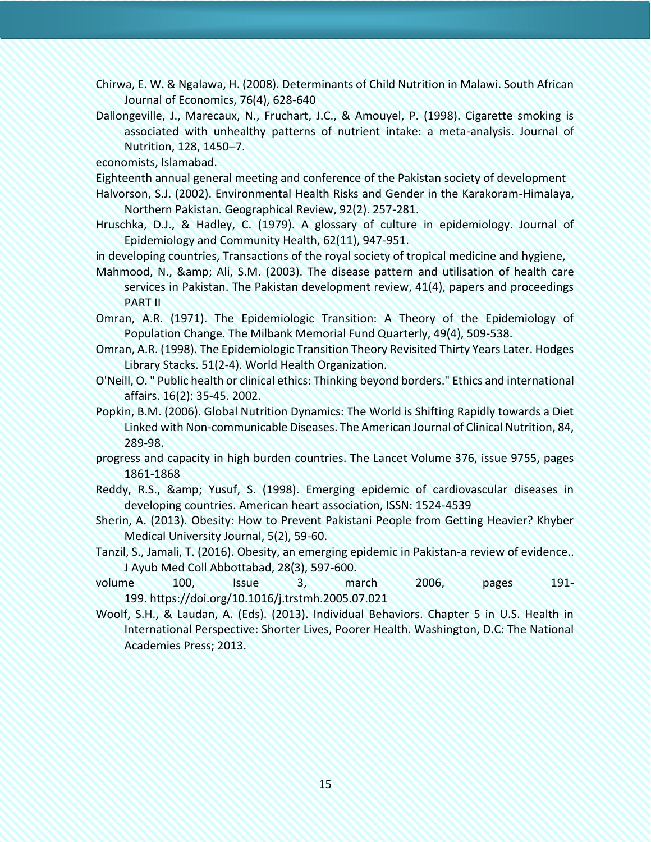- Chirwa, E. W. & Ngalawa, H. (2008). Determinants of Child Nutrition in Malawi. South African Journal of Economics, 76(4), 628-640
- Dallongeville, J., Marecaux, N., Fruchart, J.C., & Amouyel, P. (1998). Cigarette smoking is associated with unhealthy patterns of nutrient intake: a meta-analysis. Journal of Nutrition, 128, 1450–7.

economists, Islamabad.

- Eighteenth annual general meeting and conference of the Pakistan society of development
- Halvorson, S.J. (2002). Environmental Health Risks and Gender in the Karakoram-Himalaya, Northern Pakistan. Geographical Review, 92(2). 257-281.
- Hruschka, D.J., & Hadley, C. (1979). A glossary of culture in epidemiology. Journal of Epidemiology and Community Health, 62(11), 947-951.

in developing countries, Transactions of the royal society of tropical medicine and hygiene,

- Mahmood, N., & amp; Ali, S.M. (2003). The disease pattern and utilisation of health care services in Pakistan. The Pakistan development review, 41(4), papers and proceedings PART II
- Omran, A.R. (1971). The Epidemiologic Transition: A Theory of the Epidemiology of Population Change. The Milbank Memorial Fund Quarterly, 49(4), 509-538.
- Omran, A.R. (1998). The Epidemiologic Transition Theory Revisited Thirty Years Later. Hodges Library Stacks. 51(2-4). World Health Organization.
- O'Neill, O. " Public health or clinical ethics: Thinking beyond borders." Ethics and international affairs. 16(2): 35-45. 2002.
- Popkin, B.M. (2006). Global Nutrition Dynamics: The World is Shifting Rapidly towards a Diet Linked with Non-communicable Diseases. The American Journal of Clinical Nutrition, 84, 289-98.
- progress and capacity in high burden countries. The Lancet Volume 376, issue 9755, pages 1861-1868
- Reddy, R.S., & amp; Yusuf, S. (1998). Emerging epidemic of cardiovascular diseases in developing countries. American heart association, ISSN: 1524-4539
- Sherin, A. (2013). Obesity: How to Prevent Pakistani People from Getting Heavier? Khyber Medical University Journal, 5(2), 59-60.
- Tanzil, S., Jamali, T. (2016). Obesity, an emerging epidemic in Pakistan-a review of evidence.. J Ayub Med Coll Abbottabad, 28(3), 597-600.
- volume 100, Issue 3, march 2006, pages 191- 199. https://doi.org/10.1016/j.trstmh.2005.07.021
- Woolf, S.H., & Laudan, A. (Eds). (2013). Individual Behaviors. Chapter 5 in U.S. Health in International Perspective: Shorter Lives, Poorer Health. Washington, D.C: The National Academies Press; 2013.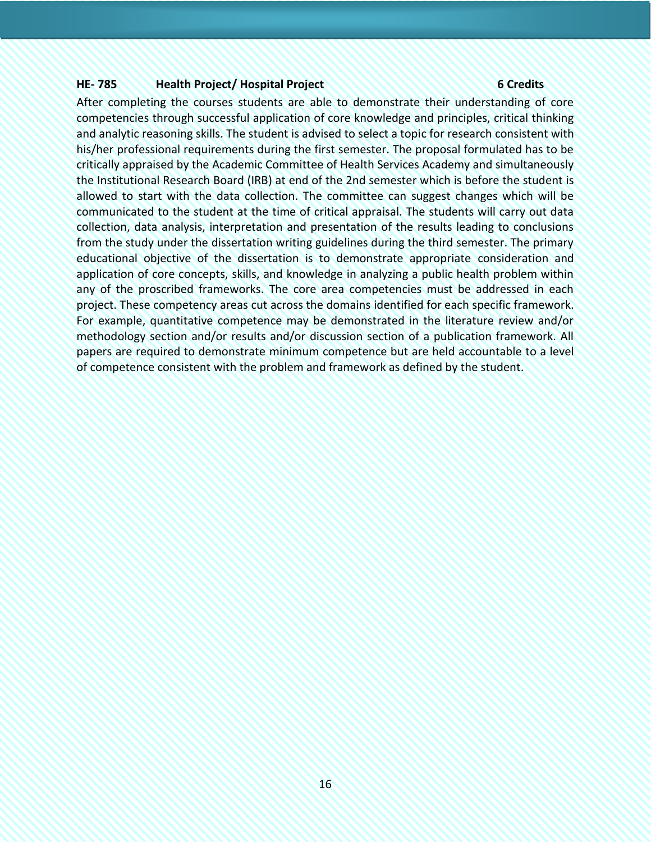### **HE- 785 Health Project/ Hospital Project 6 Credits**

After completing the courses students are able to demonstrate their understanding of core competencies through successful application of core knowledge and principles, critical thinking and analytic reasoning skills. The student is advised to select a topic for research consistent with his/her professional requirements during the first semester. The proposal formulated has to be critically appraised by the Academic Committee of Health Services Academy and simultaneously the Institutional Research Board (IRB) at end of the 2nd semester which is before the student is allowed to start with the data collection. The committee can suggest changes which will be communicated to the student at the time of critical appraisal. The students will carry out data collection, data analysis, interpretation and presentation of the results leading to conclusions from the study under the dissertation writing guidelines during the third semester. The primary educational objective of the dissertation is to demonstrate appropriate consideration and application of core concepts, skills, and knowledge in analyzing a public health problem within any of the proscribed frameworks. The core area competencies must be addressed in each project. These competency areas cut across the domains identified for each specific framework. For example, quantitative competence may be demonstrated in the literature review and/or methodology section and/or results and/or discussion section of a publication framework. All papers are required to demonstrate minimum competence but are held accountable to a level of competence consistent with the problem and framework as defined by the student.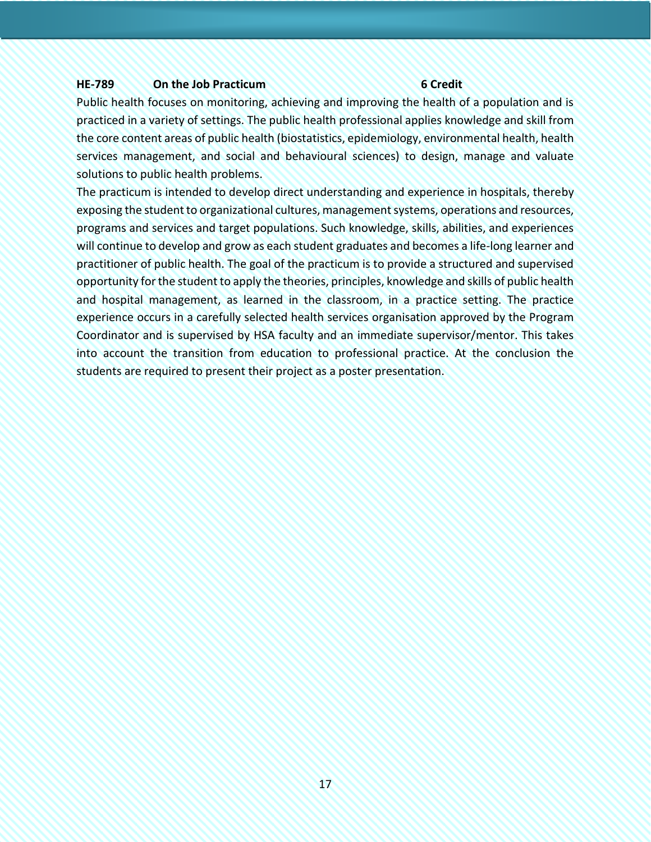#### **HE-789 On the Job Practicum 6 Credit**

Public health focuses on monitoring, achieving and improving the health of a population and is practiced in a variety of settings. The public health professional applies knowledge and skill from the core content areas of public health (biostatistics, epidemiology, environmental health, health services management, and social and behavioural sciences) to design, manage and valuate solutions to public health problems.

The practicum is intended to develop direct understanding and experience in hospitals, thereby exposing the student to organizational cultures, management systems, operations and resources, programs and services and target populations. Such knowledge, skills, abilities, and experiences will continue to develop and grow as each student graduates and becomes a life-long learner and practitioner of public health. The goal of the practicum is to provide a structured and supervised opportunity for the student to apply the theories, principles, knowledge and skills of public health and hospital management, as learned in the classroom, in a practice setting. The practice experience occurs in a carefully selected health services organisation approved by the Program Coordinator and is supervised by HSA faculty and an immediate supervisor/mentor. This takes into account the transition from education to professional practice. At the conclusion the students are required to present their project as a poster presentation.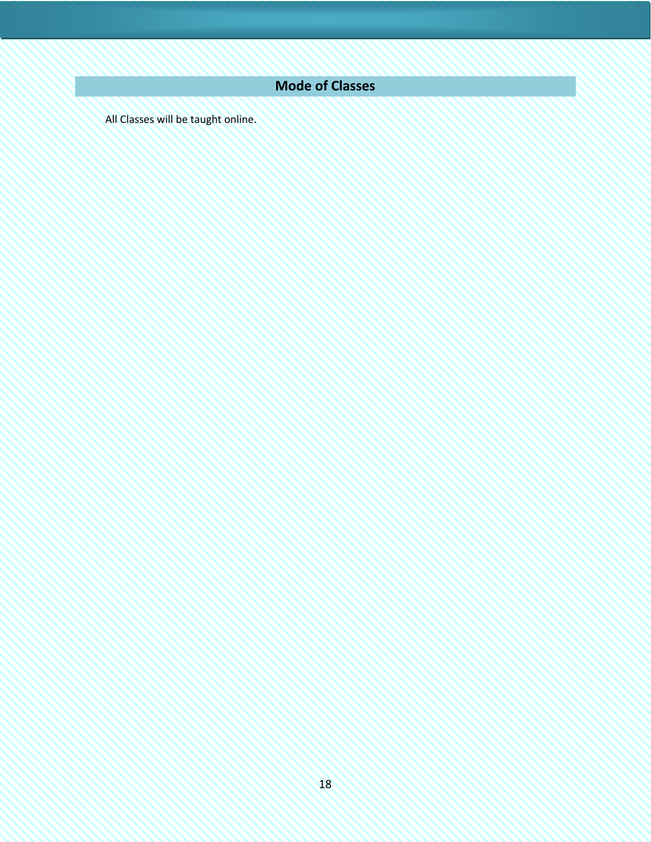# **Mode of Classes**

<span id="page-17-0"></span>All Classes will be taught online.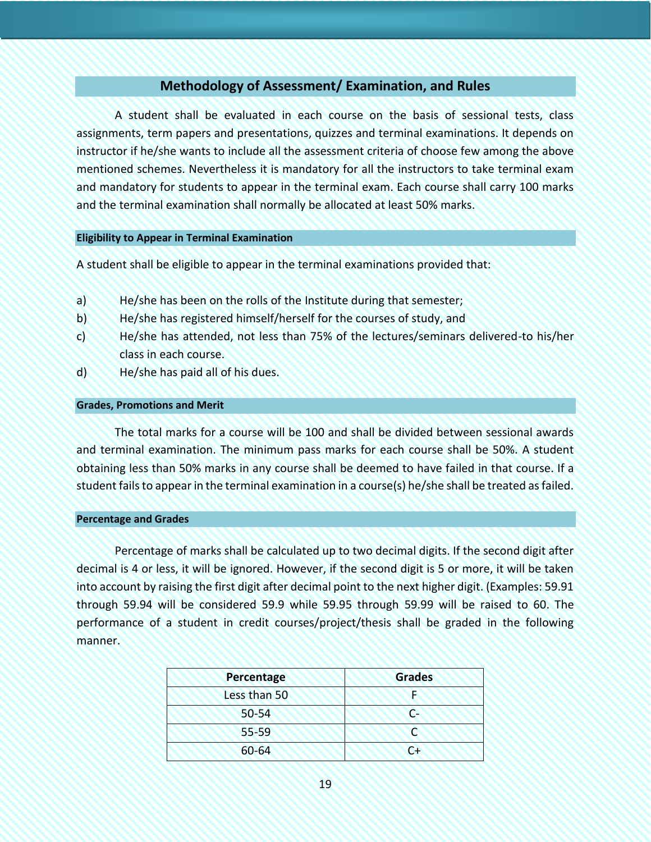# **Methodology of Assessment/ Examination, and Rules**

<span id="page-18-0"></span>A student shall be evaluated in each course on the basis of sessional tests, class assignments, term papers and presentations, quizzes and terminal examinations. It depends on instructor if he/she wants to include all the assessment criteria of choose few among the above mentioned schemes. Nevertheless it is mandatory for all the instructors to take terminal exam and mandatory for students to appear in the terminal exam. Each course shall carry 100 marks and the terminal examination shall normally be allocated at least 50% marks.

#### <span id="page-18-1"></span>**Eligibility to Appear in Terminal Examination**

A student shall be eligible to appear in the terminal examinations provided that:

- a) He/she has been on the rolls of the Institute during that semester;
- b) He/she has registered himself/herself for the courses of study, and
- c) He/she has attended, not less than 75% of the lectures/seminars delivered-to his/her class in each course.
- d) He/she has paid all of his dues.

#### **Grades, Promotions and Merit**

The total marks for a course will be 100 and shall be divided between sessional awards and terminal examination. The minimum pass marks for each course shall be 50%. A student obtaining less than 50% marks in any course shall be deemed to have failed in that course. If a student fails to appear in the terminal examination in a course(s) he/she shall be treated as failed.

#### **Percentage and Grades**

Percentage of marks shall be calculated up to two decimal digits. If the second digit after decimal is 4 or less, it will be ignored. However, if the second digit is 5 or more, it will be taken into account by raising the first digit after decimal point to the next higher digit. (Examples: 59.91 through 59.94 will be considered 59.9 while 59.95 through 59.99 will be raised to 60. The performance of a student in credit courses/project/thesis shall be graded in the following manner.

| <b>Percentage</b> | <b>Grades</b> |
|-------------------|---------------|
| Less than 50      |               |
| $50 - 54$         | $\mathsf{C}$  |
| 55-59             |               |
| 60-64             | C+            |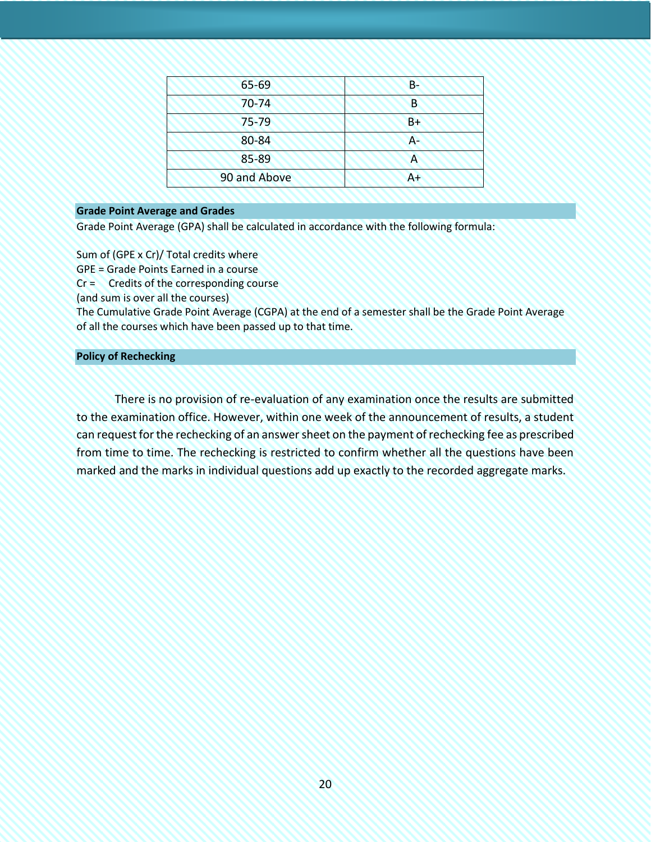| 65-69        | $B -$ |
|--------------|-------|
| $70 - 74$    | B     |
| $75 - 79$    | $B+$  |
| 80-84        | А-    |
| 85-89        |       |
| 90 and Above | $A+$  |

#### <span id="page-19-0"></span>**Grade Point Average and Grades**

Grade Point Average (GPA) shall be calculated in accordance with the following formula:

Sum of (GPE x Cr)/ Total credits where GPE = Grade Points Earned in a course Cr = Credits of the corresponding course (and sum is over all the courses) The Cumulative Grade Point Average (CGPA) at the end of a semester shall be the Grade Point Average of all the courses which have been passed up to that time.

#### <span id="page-19-1"></span>**Policy of Rechecking**

There is no provision of re-evaluation of any examination once the results are submitted to the examination office. However, within one week of the announcement of results, a student can request for the rechecking of an answer sheet on the payment of rechecking fee as prescribed from time to time. The rechecking is restricted to confirm whether all the questions have been marked and the marks in individual questions add up exactly to the recorded aggregate marks.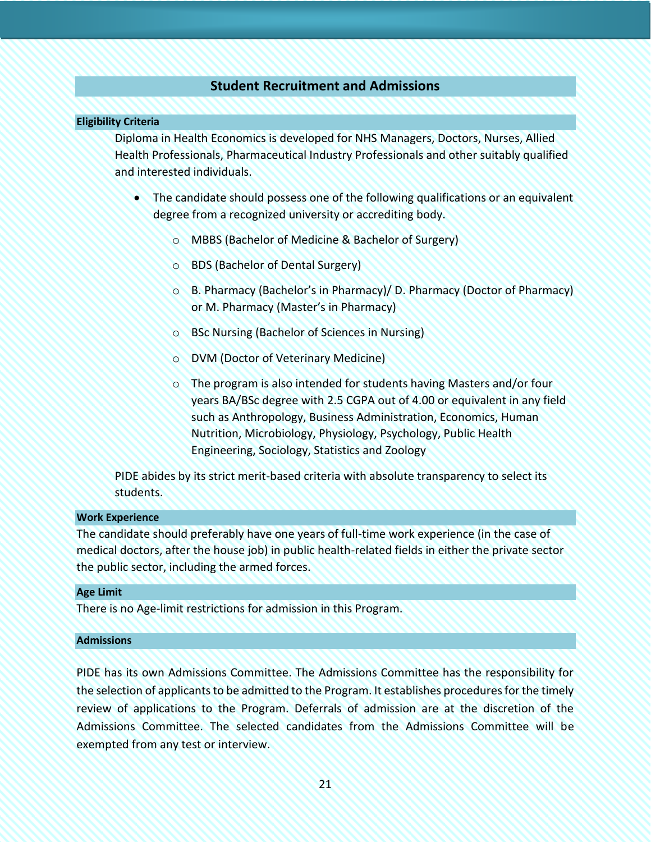# **Student Recruitment and Admissions**

#### <span id="page-20-1"></span><span id="page-20-0"></span>**Eligibility Criteria**

Diploma in Health Economics is developed for NHS Managers, Doctors, Nurses, Allied Health Professionals, Pharmaceutical Industry Professionals and other suitably qualified and interested individuals.

- The candidate should possess one of the following qualifications or an equivalent degree from a recognized university or accrediting body.
	- o MBBS (Bachelor of Medicine & Bachelor of Surgery)
	- o BDS (Bachelor of Dental Surgery)
	- o B. Pharmacy (Bachelor's in Pharmacy)/ D. Pharmacy (Doctor of Pharmacy) or M. Pharmacy (Master's in Pharmacy)
	- o BSc Nursing (Bachelor of Sciences in Nursing)
	- o DVM (Doctor of Veterinary Medicine)
	- o The program is also intended for students having Masters and/or four years BA/BSc degree with 2.5 CGPA out of 4.00 or equivalent in any field such as Anthropology, Business Administration, Economics, Human Nutrition, Microbiology, Physiology, Psychology, Public Health Engineering, Sociology, Statistics and Zoology

PIDE abides by its strict merit-based criteria with absolute transparency to select its students.

#### <span id="page-20-2"></span>**Work Experience**

The candidate should preferably have one years of full-time work experience (in the case of medical doctors, after the house job) in public health-related fields in either the private sector the public sector, including the armed forces.

#### <span id="page-20-3"></span>**Age Limit**

There is no Age-limit restrictions for admission in this Program.

#### <span id="page-20-4"></span>**Admissions**

PIDE has its own Admissions Committee. The Admissions Committee has the responsibility for the selection of applicants to be admitted to the Program. It establishes procedures for the timely review of applications to the Program. Deferrals of admission are at the discretion of the Admissions Committee. The selected candidates from the Admissions Committee will be exempted from any test or interview.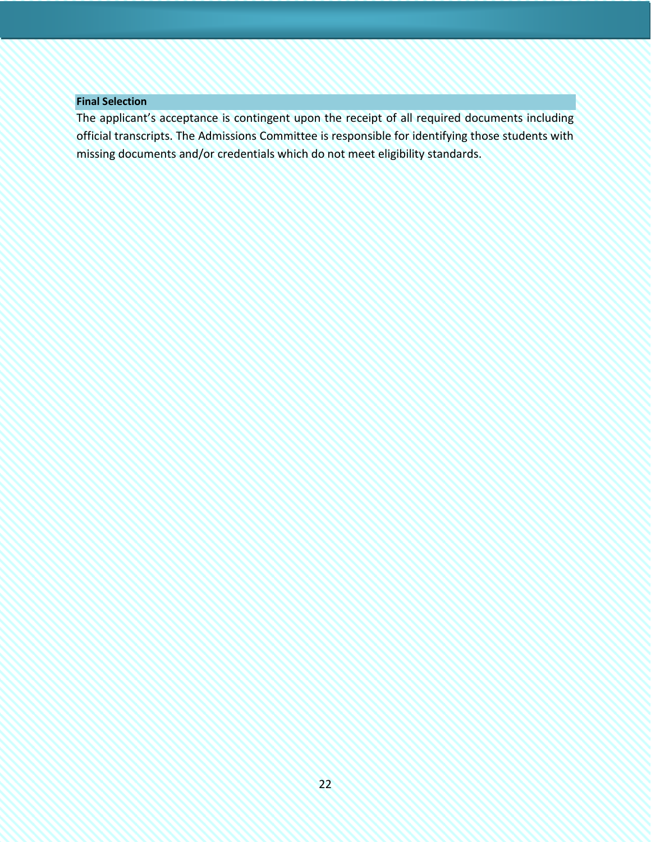### <span id="page-21-0"></span>**Final Selection**

The applicant's acceptance is contingent upon the receipt of all required documents including official transcripts. The Admissions Committee is responsible for identifying those students with missing documents and/or credentials which do not meet eligibility standards.